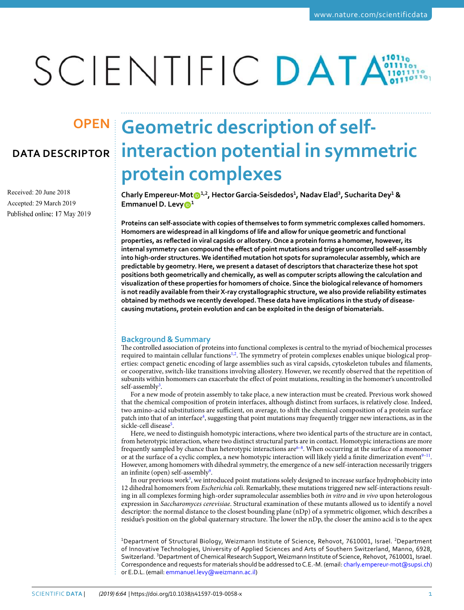# SCIENTIFIC DATA

Received: 20 June 2018 Accepted: 29 March 2019 Published online: 17 May 2019

# **Geometric description of self-OPeNDATA DESCRIPTOR interaction potential in symmetric protein complexes**

**Charly Empereur-Mo[t](http://orcid.org/0000-0001-6972-8225) 1,2, Hector Garcia-Seisdedos<sup>1</sup> , Nadav Elad<sup>3</sup> , Sucharita Dey<sup>1</sup> & Emmanuel D. Levy<sup>1</sup>**

**Proteins can self-associate with copies of themselves to form symmetric complexes called homomers. Homomers are widespread in all kingdoms of life and allow for unique geometric and functional properties, as reflected in viral capsids or allostery. Once a protein forms a homomer, however, its internal symmetry can compound the effect of point mutations and trigger uncontrolled self-assembly into high-order structures. We identified mutation hot spots for supramolecular assembly, which are predictable by geometry. Here, we present a dataset of descriptors that characterize these hot spot positions both geometrically and chemically, as well as computer scripts allowing the calculation and visualization of these properties for homomers of choice. Since the biological relevance of homomers is not readily available from their X-ray crystallographic structure, we also provide reliability estimates obtained by methods we recently developed. These data have implications in the study of diseasecausing mutations, protein evolution and can be exploited in the design of biomaterials.**

## **Background & Summary**

The controlled association of proteins into functional complexes is central to the myriad of biochemical processes required to maintain cellular functions<sup>[1](#page-7-0),[2](#page-7-1)</sup>. The symmetry of protein complexes enables unique biological properties: compact genetic encoding of large assemblies such as viral capsids, cytoskeleton tubules and filaments, or cooperative, switch-like transitions involving allostery. However, we recently observed that the repetition of subunits within homomers can exacerbate the effect of point mutations, resulting in the homomer's uncontrolled self-assembly<sup>[3](#page-7-2)</sup>.

For a new mode of protein assembly to take place, a new interaction must be created. Previous work showed that the chemical composition of protein interfaces, although distinct from surfaces, is relatively close. Indeed, two amino-acid substitutions are sufficient, on average, to shift the chemical composition of a protein surface patch into that of an interface<sup>[4](#page-7-3)</sup>, suggesting that point mutations may frequently trigger new interactions, as in the sickle-cell disease<sup>[5](#page-7-4)</sup>.

Here, we need to distinguish homotypic interactions, where two identical parts of the structure are in contact, from heterotypic interaction, where two distinct structural parts are in contact. Homotypic interactions are more frequently sampled by chance than heterotypic interactions are<sup>[6](#page-7-5)-8</sup>. When occurring at the surface of a monomer or at the surface of a cyclic complex, a new homotypic interaction will likely yield a finite dimerization event<sup>9-[11](#page-7-8)</sup>. However, among homomers with dihedral symmetry, the emergence of a new self-interaction necessarily triggers an infinite (open) self-assembly<sup>[9](#page-7-7)</sup>.

In our previous work<sup>[3](#page-7-2)</sup>, we introduced point mutations solely designed to increase surface hydrophobicity into 12 dihedral homomers from Escherichia coli. Remarkably, these mutations triggered new self-interactions resulting in all complexes forming high-order supramolecular assemblies both in vitro and in vivo upon heterologous expression in Saccharomyces cerevisiae. Structural examination of these mutants allowed us to identify a novel descriptor: the normal distance to the closest bounding plane (nDp) of a symmetric oligomer, which describes a residue's position on the global quaternary structure. The lower the nDp, the closer the amino acid is to the apex

<sup>1</sup>Department of Structural Biology, Weizmann Institute of Science, Rehovot, 7610001, Israel. <sup>2</sup>Department of Innovative Technologies, University of Applied Sciences and Arts of Southern Switzerland, Manno, 6928, Switzerland. <sup>3</sup>Department of Chemical Research Support, Weizmann Institute of Science, Rehovot, 7610001, Israel. Correspondence and requests for materials should be addressed to C.E.-M. (email: [charly.empereur-mot@supsi.ch](mailto:charly.empereur-mot@supsi.ch)) or E.D.L. (email: [emmanuel.levy@weizmann.ac.il](mailto:emmanuel.levy@weizmann.ac.il))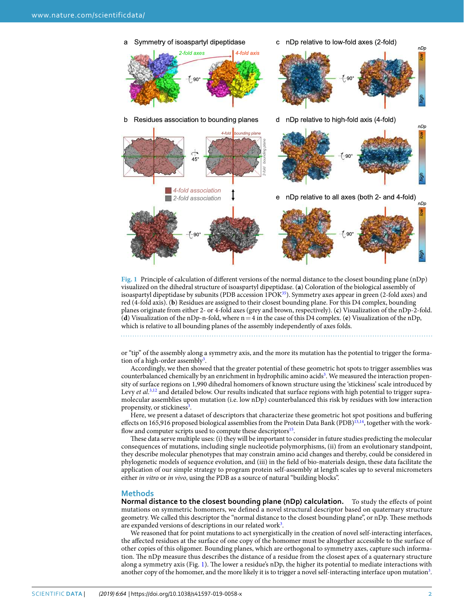

<span id="page-1-0"></span>**Fig. 1** Principle of calculation of different versions of the normal distance to the closest bounding plane (nDp) visualized on the dihedral structure of isoaspartyl dipeptidase. (**a**) Coloration of the biological assembly of isoaspartyl dipeptidase by subunits (PDB accession 1POK<sup>[35](#page-8-0)</sup>). Symmetry axes appear in green (2-fold axes) and red (4-fold axis). (**b**) Residues are assigned to their closest bounding plane. For this D4 complex, bounding planes originate from either 2- or 4-fold axes (grey and brown, respectively). (**c**) Visualization of the nDp-2-fold. (**d**) Visualization of the nDp-n-fold, where  $n = 4$  in the case of this D4 complex. (**e**) Visualization of the nDp, which is relative to all bounding planes of the assembly independently of axes folds.

or "tip" of the assembly along a symmetry axis, and the more its mutation has the potential to trigger the forma-tion of a high-order assembly<sup>[3](#page-7-2)</sup>.

Accordingly, we then showed that the greater potential of these geometric hot spots to trigger assemblies was counterbalanced chemically by an enrichment in hydrophilic amino acids<sup>[3](#page-7-2)</sup>. We measured the interaction propensity of surface regions on 1,990 dihedral homomers of known structure using the 'stickiness' scale introduced by Levy et al.<sup>[3,](#page-7-2)[12](#page-7-9)</sup> and detailed below. Our results indicated that surface regions with high potential to trigger supramolecular assemblies upon mutation (i.e. low nDp) counterbalanced this risk by residues with low interaction propensity, or stickiness<sup>[3](#page-7-2)</sup>.

Here, we present a dataset of descriptors that characterize these geometric hot spot positions and buffering effects on 165,916 proposed biological assemblies from the Protein Data Bank (PDB)<sup>[13](#page-7-10)[,14](#page-7-11)</sup>, together with the work-flow and computer scripts used to compute these descriptors<sup>[15](#page-7-12)</sup>.

These data serve multiple uses: (i) they will be important to consider in future studies predicting the molecular consequences of mutations, including single nucleotide polymorphisms, (ii) from an evolutionary standpoint, they describe molecular phenotypes that may constrain amino acid changes and thereby, could be considered in phylogenetic models of sequence evolution, and (iii) in the field of bio-materials design, these data facilitate the application of our simple strategy to program protein self-assembly at length scales up to several micrometers either in vitro or in vivo, using the PDB as a source of natural "building blocks".

#### **Methods**

**Normal distance to the closest bounding plane (nDp) calculation.** To study the effects of point mutations on symmetric homomers, we defined a novel structural descriptor based on quaternary structure geometry. We called this descriptor the "normal distance to the closest bounding plane", or nDp. These methods are expanded versions of descriptions in our related work<sup>[3](#page-7-2)</sup>.

We reasoned that for point mutations to act synergistically in the creation of novel self-interacting interfaces, the affected residues at the surface of one copy of the homomer must be altogether accessible to the surface of other copies of this oligomer. Bounding planes, which are orthogonal to symmetry axes, capture such information. The nDp measure thus describes the distance of a residue from the closest apex of a quaternary structure along a symmetry axis (Fig. [1\)](#page-1-0). The lower a residue's nDp, the higher its potential to mediate interactions with another copy of the homomer, and the more likely it is to trigger a novel self-interacting interface upon mutation<sup>[3](#page-7-2)</sup>.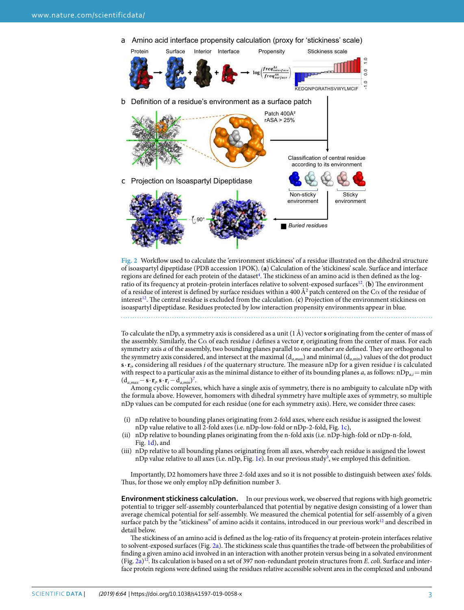a Amino acid interface propensity calculation (proxy for 'stickiness' scale)



<span id="page-2-0"></span>**Fig. 2** Workflow used to calculate the 'environment stickiness' of a residue illustrated on the dihedral structure of isoaspartyl dipeptidase (PDB accession 1POK). (**a**) Calculation of the 'stickiness' scale. Surface and interface regions are defined for each protein of the dataset<sup>[4](#page-7-3)</sup>. The stickiness of an amino acid is then defined as the logratio of its frequency at protein-protein interfaces relative to solvent-exposed surfaces[12](#page-7-9). (**b**) The environment of a residue of interest is defined by surface residues within a 400 Å<sup>2</sup> patch centered on the C $\alpha$  of the residue of interest<sup>[12](#page-7-9)</sup>. The central residue is excluded from the calculation. (c) Projection of the environment stickiness on isoaspartyl dipeptidase. Residues protected by low interaction propensity environments appear in blue.

To calculate the nDp, a symmetry axis is considered as a unit  $(1 \text{ Å})$  vector **s** originating from the center of mass of the assembly. Similarly, the C $\alpha$  of each residue *i* defines a vector  $r_i$  originating from the center of mass. For each symmetry axis a of the assembly, two bounding planes parallel to one another are defined. They are orthogonal to the symmetry axis considered, and intersect at the maximal  $(d_{a,max})$  and minimal  $(d_{a,min})$  values of the dot product  $\mathbf{s} \cdot \mathbf{r}_i$  considering all residues *i* of the quaternary structure. The measure nDp for a given residue *i* is calculated with respect to a particular axis as the minimal distance to either of its bounding planes a, as follows:  $nDp_a$  = min  $(d_{a,max} - \mathbf{s} \cdot \mathbf{r}_i, \mathbf{s} \cdot \mathbf{r}_i - d_{a,min})^7$  $(d_{a,max} - \mathbf{s} \cdot \mathbf{r}_i, \mathbf{s} \cdot \mathbf{r}_i - d_{a,min})^7$ .

Among cyclic complexes, which have a single axis of symmetry, there is no ambiguity to calculate nDp with the formula above. However, homomers with dihedral symmetry have multiple axes of symmetry, so multiple nDp values can be computed for each residue (one for each symmetry axis). Here, we consider three cases:

- (i) nDp relative to bounding planes originating from 2-fold axes, where each residue is assigned the lowest nDp value relative to all 2-fold axes (i.e. nDp-low-fold or nDp-2-fold, Fig. [1c\)](#page-1-0),
- (ii) nDp relative to bounding planes originating from the n-fold axis (i.e. nDp-high-fold or nDp-n-fold, Fig. [1d](#page-1-0)), and
- (iii) nDp relative to all bounding planes originating from all axes, whereby each residue is assigned the lowest nDp value relative to all axes (i.e. nDp, Fig. [1e\)](#page-1-0). In our previous study<sup>[3](#page-7-2)</sup>, we employed this definition.

Importantly, D2 homomers have three 2-fold axes and so it is not possible to distinguish between axes' folds. Thus, for those we only employ nDp definition number 3.

**environment stickiness calculation.** In our previous work, we observed that regions with high geometric potential to trigger self-assembly counterbalanced that potential by negative design consisting of a lower than average chemical potential for self-assembly. We measured the chemical potential for self-assembly of a given surface patch by the "stickiness" of amino acids it contains, introduced in our previous work<sup>[12](#page-7-9)</sup> and described in detail below.

The stickiness of an amino acid is defined as the log-ratio of its frequency at protein-protein interfaces relative to solvent-exposed surfaces (Fig. [2a\)](#page-2-0). The stickiness scale thus quantifies the trade-off between the probabilities of finding a given amino acid involved in an interaction with another protein versus being in a solvated environment (Fig. [2a\)](#page-2-0)<sup>[12](#page-7-9)</sup>. Its calculation is based on a set of 397 non-redundant protein structures from *E*. *coli*. Surface and interface protein regions were defined using the residues relative accessible solvent area in the complexed and unbound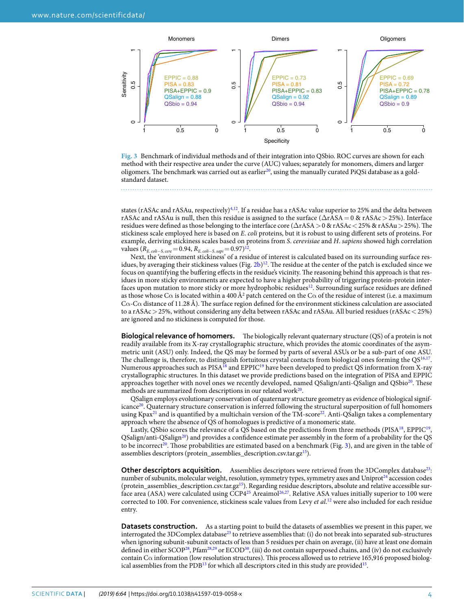

<span id="page-3-0"></span>**Fig. 3** Benchmark of individual methods and of their integration into QSbio. ROC curves are shown for each method with their respective area under the curve (AUC) values; separately for monomers, dimers and larger oligomers. The benchmark was carried out as earlier<sup>[20](#page-8-1)</sup>, using the manually curated PiQSi database as a goldstandard dataset.

states (rASAc and rASAu, respectively)<sup>[4](#page-7-3),[12](#page-7-9)</sup>. If a residue has a rASAc value superior to 25% and the delta between rASAc and rASAu is null, then this residue is assigned to the surface (∆rASA = 0 & rASAc > 25%). Interface residues were defined as those belonging to the interface core (∆rASA > 0 & rASAc < 25% & rASAu > 25%). The stickiness scale employed here is based on E. coli proteins, but it is robust to using different sets of proteins. For example, deriving stickiness scales based on proteins from S. cerevisiae and H. sapiens showed high correlation values ( $R_{E. \, coli-S. \, cere} = 0.94, R_{E. \, coli-S. \, sapi} = 0.97)^{12}.$  $R_{E. \, coli-S. \, cere} = 0.94, R_{E. \, coli-S. \, sapi} = 0.97)^{12}.$  $R_{E. \, coli-S. \, cere} = 0.94, R_{E. \, coli-S. \, sapi} = 0.97)^{12}.$ 

Next, the 'environment stickiness' of a residue of interest is calculated based on its surrounding surface residues, by averaging their stickiness values (Fig.  $2b$ )<sup>[12](#page-7-9)</sup>. The residue at the center of the patch is excluded since we focus on quantifying the buffering effects in the residue's vicinity. The reasoning behind this approach is that residues in more sticky environments are expected to have a higher probability of triggering protein-protein inter-faces upon mutation to more sticky or more hydrophobic residues<sup>[12](#page-7-9)</sup>. Surrounding surface residues are defined as those whose C $\alpha$  is located within a 400 Å<sup>2</sup> patch centered on the C $\alpha$  of the residue of interest (i.e. a maximum  $C\alpha$ -C $\alpha$  distance of 11.28 Å). The surface region defined for the environment stickiness calculation are associated to a rASAc > 25%, without considering any delta between rASAc and rASAu. All buried residues (rASAc < 25%) are ignored and no stickiness is computed for those.

**Biological relevance of homomers.** The biologically relevant quaternary structure (QS) of a protein is not readily available from its X-ray crystallographic structure, which provides the atomic coordinates of the asymmetric unit (ASU) only. Indeed, the QS may be formed by parts of several ASUs or be a sub-part of one ASU. The challenge is, therefore, to distinguish fortuitous crystal contacts from biological ones forming the  $QS^{16,17}$  $QS^{16,17}$  $QS^{16,17}$  $QS^{16,17}$  $QS^{16,17}$ . Numerous approaches such as PISA<sup>[18](#page-7-16)</sup> and EPPIC<sup>[19](#page-7-17)</sup> have been developed to predict QS information from X-ray crystallographic structures. In this dataset we provide predictions based on the integration of PISA and EPPIC approaches together with novel ones we recently developed, named QSalign/anti-QSalign and QSbio<sup>[20](#page-8-1)</sup>. These methods are summarized from descriptions in our related work<sup>[20](#page-8-1)</sup>.

QSalign employs evolutionary conservation of quaternary structure geometry as evidence of biological signif-icance<sup>[20](#page-8-1)</sup>. Quaternary structure conservation is inferred following the structural superposition of full homomers using Kpax<sup>[21](#page-8-2)</sup> and is quantified by a multichain version of the TM-score<sup>[22](#page-8-3)</sup>. Anti-QSalign takes a complementary approach where the absence of QS of homologues is predictive of a monomeric state.

Lastly, QSbio scores the relevance of a QS based on the predictions from three methods (PISA<sup>[18](#page-7-16)</sup>, EPPIC<sup>[19](#page-7-17)</sup>, QSalign/anti-QSalign[20](#page-8-1)) and provides a confidence estimate per assembly in the form of a probability for the QS to be incorrect<sup>[20](#page-8-1)</sup>. Those probabilities are estimated based on a benchmark (Fig. [3](#page-3-0)), and are given in the table of assemblies descriptors (protein\_assemblies\_description.csv.tar.gz<sup>[15](#page-7-12)</sup>).

**Other descriptors acquisition.** Assemblies descriptors were retrieved from the 3DComplex database<sup>[23](#page-8-4)</sup>: number of subunits, molecular weight, resolution, symmetry types, symmetry axes and Uniprot<sup>[24](#page-8-5)</sup> accession codes (protein\_assemblies\_description.csv.tar.gz<sup>[15](#page-7-12)</sup>). Regarding residue descriptors, absolute and relative accessible surface area (ASA) were calculated using  $CCP4^{25}$  $CCP4^{25}$  $CCP4^{25}$  Areaimol<sup>[26](#page-8-7)[,27](#page-8-8)</sup>. Relative ASA values initially superior to 100 were corrected to 100. For convenience, stickiness scale values from Levy et al.<sup>[12](#page-7-9)</sup> were also included for each residue entry.

**Datasets construction.** As a starting point to build the datasets of assemblies we present in this paper, we interrogated the 3DComplex database<sup>[23](#page-8-4)</sup> to retrieve assemblies that: (i) do not break into separated sub-structures when ignoring subunit-subunit contacts of less than 5 residues per chain on average, (ii) have at least one domain defined in either SCOP<sup>[28](#page-8-9)</sup>, Pfam<sup>[28,](#page-8-9)[29](#page-8-10)</sup> or ECOD<sup>[30](#page-8-11)</sup>, (iii) do not contain superposed chains, and (iv) do not exclusively contain Cα information (low resolution structures). This process allowed us to retrieve 165,916 proposed biolog-ical assemblies from the PDB<sup>[13](#page-7-10)</sup> for which all descriptors cited in this study are provided<sup>[15](#page-7-12)</sup>.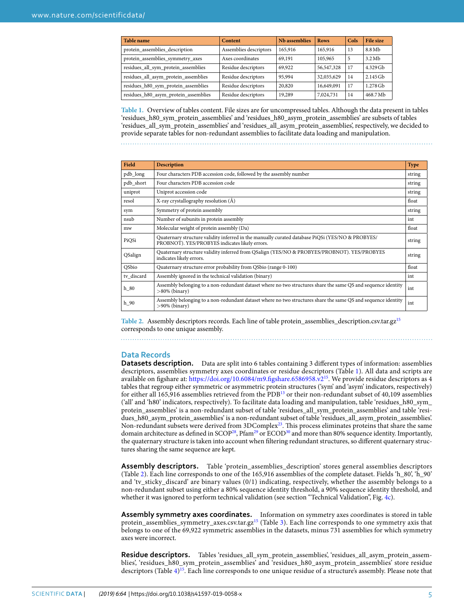<span id="page-4-0"></span>

| <b>Table name</b>                    | Content                | Nb assemblies | <b>Rows</b> | Cols | File size         |
|--------------------------------------|------------------------|---------------|-------------|------|-------------------|
| protein_assemblies_description       | Assemblies descriptors | 165,916       | 165,916     | 13   | 8.8 Mb            |
| protein_assemblies_symmetry_axes     | Axes coordinates       | 69,191        | 105,965     | 5    | 3.2M <sub>b</sub> |
| residues_all_sym_protein_assemblies  | Residue descriptors    | 69,922        | 56,547,328  | 17   | $4.329$ Gb        |
| residues_all_asym_protein_assemblies | Residue descriptors    | 95,994        | 32,035,629  | 14   | $2.145$ Gb        |
| residues_h80_sym_protein_assemblies  | Residue descriptors    | 20,820        | 16,649,091  | 17   | 1.278 Gb          |
| residues_h80_asym_protein_assemblies | Residue descriptors    | 19,289        | 7,024,731   | 14   | 468.7 Mb          |

**Table 1.** Overview of tables content. File sizes are for uncompressed tables. Although the data present in tables 'residues\_h80\_sym\_protein\_assemblies' and 'residues\_h80\_asym\_protein\_assemblies' are subsets of tables 'residues\_all\_sym\_protein\_assemblies' and 'residues\_all\_asym\_protein\_assemblies', respectively, we decided to provide separate tables for non-redundant assemblies to facilitate data loading and manipulation.

<span id="page-4-1"></span>

| Field        | <b>Description</b>                                                                                                                                 | <b>Type</b> |
|--------------|----------------------------------------------------------------------------------------------------------------------------------------------------|-------------|
| pdb_long     | Four characters PDB accession code, followed by the assembly number                                                                                | string      |
| pdb_short    | Four characters PDB accession code                                                                                                                 | string      |
| uniprot      | Uniprot accession code                                                                                                                             | string      |
| resol        | X-ray crystallography resolution (Å)                                                                                                               | float       |
| sym          | Symmetry of protein assembly                                                                                                                       | string      |
| nsub         | Number of subunits in protein assembly                                                                                                             | int         |
| mw           | Molecular weight of protein assembly (Da)                                                                                                          | float       |
| PiQSi        | Quaternary structure validity inferred in the manually curated database PiQSi (YES/NO & PROBYES/<br>PROBNOT). YES/PROBYES indicates likely errors. | string      |
| QSalign      | Quaternary structure validity inferred from QSalign (YES/NO & PROBYES/PROBNOT). YES/PROBYES<br>indicates likely errors.                            | string      |
| <b>OSbio</b> | Quaternary structure error probability from QSbio (range 0-100)                                                                                    | float       |
| tv discard   | Assembly ignored in the technical validation (binary)                                                                                              | int         |
| h 80         | Assembly belonging to a non-redundant dataset where no two structures share the same QS and sequence identity<br>$>80\%$ (binary)                  | int         |
| h 90         | Assembly belonging to a non-redundant dataset where no two structures share the same QS and sequence identity<br>$>90\%$ (binary)                  | int         |

**Table 2.** Assembly descriptors records. Each line of table protein\_assemblies\_description.csv.tar.gz[15](#page-7-12) corresponds to one unique assembly.

#### **Data Records**

**Datasets description.** Data are split into 6 tables containing 3 different types of information: assemblies descriptors, assemblies symmetry axes coordinates or residue descriptors (Table [1\)](#page-4-0). All data and scripts are available on figshare at: <https://doi.org/10.6084/m9.figshare.6586958.v2>[15](#page-7-12). We provide residue descriptors as 4 tables that regroup either symmetric or asymmetric protein structures ('sym' and 'asym' indicators, respectively) for either all 165,916 assemblies retrieved from the PDB[13](#page-7-10) or their non-redundant subset of 40,109 assemblies ('all' and 'h80' indicators, respectively). To facilitate data loading and manipulation, table 'residues\_h80\_sym\_ protein\_assemblies' is a non-redundant subset of table 'residues\_all\_sym\_protein\_assemblies' and table 'residues\_h80\_asym\_protein\_assemblies' is a non-redundant subset of table 'residues\_all\_asym\_protein\_assemblies'. Non-redundant subsets were derived from 3DComplex<sup>[23](#page-8-4)</sup>. This process eliminates proteins that share the same domain architecture as defined in SCOP<sup>[28](#page-8-9)</sup>, Pfam<sup>[29](#page-8-10)</sup> or ECOD<sup>[30](#page-8-11)</sup> and more than 80% sequence identity. Importantly, the quaternary structure is taken into account when filtering redundant structures, so different quaternary structures sharing the same sequence are kept.

**assembly descriptors.** Table 'protein\_assemblies\_description' stores general assemblies descriptors (Table [2\)](#page-4-1). Each line corresponds to one of the 165,916 assemblies of the complete dataset. Fields 'h\_80', 'h\_90' and 'tv\_sticky\_discard' are binary values (0/1) indicating, respectively, whether the assembly belongs to a non-redundant subset using either a 80% sequence identity threshold, a 90% sequence identity threshold, and whether it was ignored to perform technical validation (see section "Technical Validation", Fig. [4c\)](#page-5-0).

**assembly symmetry axes coordinates.** Information on symmetry axes coordinates is stored in table protein\_assemblies\_symmetry\_axes.csv.tar.gz<sup>[15](#page-7-12)</sup> (Table [3](#page-6-0)). Each line corresponds to one symmetry axis that belongs to one of the 69,922 symmetric assemblies in the datasets, minus 731 assemblies for which symmetry axes were incorrect.

**Residue descriptors.** Tables 'residues\_all\_sym\_protein\_assemblies', 'residues\_all\_asym\_protein\_assemblies', 'residues\_h80\_sym\_protein\_assemblies' and 'residues\_h80\_asym\_protein\_assemblies' store residue descriptors (Table [4\)](#page-6-1)<sup>[15](#page-7-12)</sup>. Each line corresponds to one unique residue of a structure's assembly. Please note that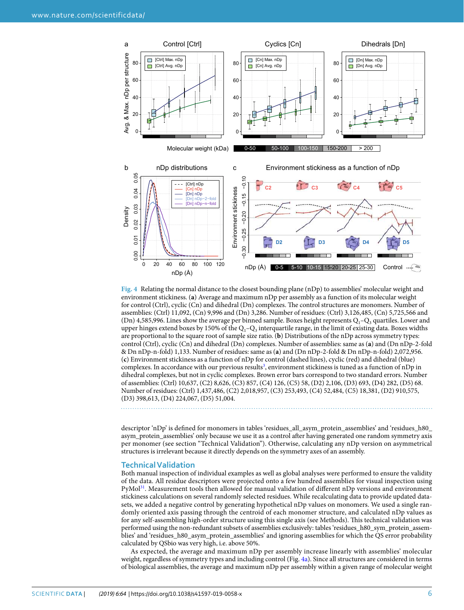

<span id="page-5-0"></span>

descriptor 'nDp' is defined for monomers in tables 'residues\_all\_asym\_protein\_assemblies' and 'residues\_h80\_ asym\_protein\_assemblies' only because we use it as a control after having generated one random symmetry axis per monomer (see section "Technical Validation"). Otherwise, calculating any nDp version on asymmetrical structures is irrelevant because it directly depends on the symmetry axes of an assembly.

#### **Technical Validation**

Both manual inspection of individual examples as well as global analyses were performed to ensure the validity of the data. All residue descriptors were projected onto a few hundred assemblies for visual inspection using PyMol<sup>[31](#page-8-12)</sup>. Measurement tools then allowed for manual validation of different nDp versions and environment stickiness calculations on several randomly selected residues. While recalculating data to provide updated datasets, we added a negative control by generating hypothetical nDp values on monomers. We used a single randomly oriented axis passing through the centroid of each monomer structure, and calculated nDp values as for any self-assembling high-order structure using this single axis (see Methods). This technical validation was performed using the non-redundant subsets of assemblies exclusively: tables 'residues\_h80\_sym\_protein\_assemblies' and 'residues\_h80\_asym\_protein\_assemblies' and ignoring assemblies for which the QS error probability calculated by QSbio was very high, i.e. above 50%.

As expected, the average and maximum nDp per assembly increase linearly with assemblies' molecular weight, regardless of symmetry types and including control (Fig. [4a\)](#page-5-0). Since all structures are considered in terms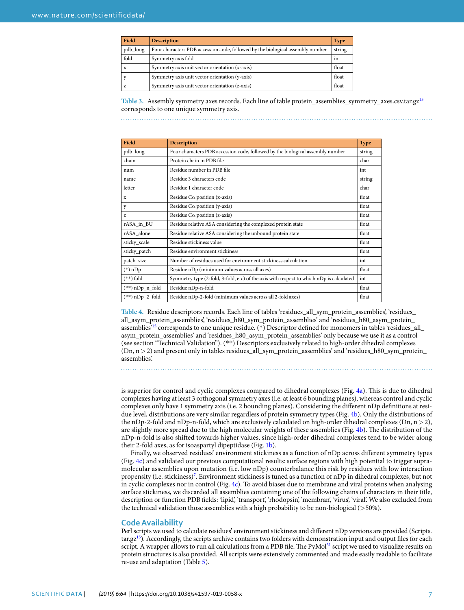<span id="page-6-0"></span>

| Field        | <b>Description</b>                                                             | <b>Type</b> |
|--------------|--------------------------------------------------------------------------------|-------------|
| pdb_long     | Four characters PDB accession code, followed by the biological assembly number | string      |
| fold         | Symmetry axis fold                                                             | int         |
| $\mathbf{x}$ | Symmetry axis unit vector orientation (x-axis)                                 | float       |
|              | Symmetry axis unit vector orientation (y-axis)                                 | float       |
| Z            | Symmetry axis unit vector orientation (z-axis)                                 | float       |

**Table 3.** Assembly symmetry axes records. Each line of table protein\_assemblies\_symmetry\_axes.csv.tar.gz[15](#page-7-12) corresponds to one unique symmetry axis.

<span id="page-6-1"></span>

| Field             | <b>Description</b>                                                                      | <b>Type</b> |
|-------------------|-----------------------------------------------------------------------------------------|-------------|
| pdb_long          | Four characters PDB accession code, followed by the biological assembly number          | string      |
| chain             | Protein chain in PDB file                                                               | char        |
| num               | Residue number in PDB file                                                              | int         |
| name              | Residue 3 characters code                                                               | string      |
| letter            | Residue 1 character code                                                                | char        |
| X                 | Residue C $\alpha$ position (x-axis)                                                    | float       |
| y                 | Residue C $\alpha$ position (y-axis)                                                    | float       |
| Z.                | Residue C $\alpha$ position (z-axis)                                                    | float       |
| rASA in BU        | Residue relative ASA considering the complexed protein state                            | float       |
| rASA alone        | Residue relative ASA considering the unbound protein state                              | float       |
| sticky_scale      | Residue stickiness value                                                                | float       |
| sticky_patch      | Residue environment stickiness                                                          | float       |
| patch_size        | Number of residues used for environment stickiness calculation                          | int         |
| (*) nDp           | Residue nDp (minimum values across all axes)                                            | float       |
| (**) fold         | Symmetry type (2-fold, 3-fold, etc) of the axis with respect to which nDp is calculated | int         |
| $(**)$ nDp_n_fold | Residue nDp-n-fold                                                                      | float       |
| $(**)$ nDp_2_fold | Residue nDp-2-fold (minimum values across all 2-fold axes)                              | float       |

**Table 4.** Residue descriptors records. Each line of tables 'residues\_all\_sym\_protein\_assemblies', 'residues\_ all\_asym\_protein\_assemblies', 'residues\_h80\_sym\_protein\_assemblies' and 'residues\_h80\_asym\_protein\_ assemblies'[15](#page-7-12) corresponds to one unique residue. (\*) Descriptor defined for monomers in tables 'residues\_all\_ asym\_protein\_assemblies' and 'residues\_h80\_asym\_protein\_assemblies' only because we use it as a control (see section "Technical Validation"). (\*\*) Descriptors exclusively related to high-order dihedral complexes (Dn, n > 2) and present only in tables residues\_all\_sym\_protein\_assemblies' and 'residues\_h80\_sym\_protein\_ assemblies'.

is superior for control and cyclic complexes compared to dihedral complexes (Fig. [4a\)](#page-5-0). This is due to dihedral complexes having at least 3 orthogonal symmetry axes (i.e. at least 6 bounding planes), whereas control and cyclic complexes only have 1 symmetry axis (i.e. 2 bounding planes). Considering the different nDp definitions at resi-due level, distributions are very similar regardless of protein symmetry types (Fig. [4b\)](#page-5-0). Only the distributions of the nDp-2-fold and nDp-n-fold, which are exclusively calculated on high-order dihedral complexes (Dn,  $n > 2$ ), are slightly more spread due to the high molecular weights of these assemblies (Fig. [4b](#page-5-0)). The distribution of the nDp-n-fold is also shifted towards higher values, since high-order dihedral complexes tend to be wider along their 2-fold axes, as for isoaspartyl dipeptidase (Fig. [1b\)](#page-1-0).

Finally, we observed residues' environment stickiness as a function of nDp across different symmetry types (Fig. [4c\)](#page-5-0) and validated our previous computational results: surface regions with high potential to trigger supramolecular assemblies upon mutation (i.e. low nDp) counterbalance this risk by residues with low interaction propensity (i.e. stickiness)<sup>[7](#page-7-13)</sup>. Environment stickiness is tuned as a function of nDp in dihedral complexes, but not in cyclic complexes nor in control (Fig. [4c](#page-5-0)). To avoid biases due to membrane and viral proteins when analysing surface stickiness, we discarded all assemblies containing one of the following chains of characters in their title, description or function PDB fields: 'lipid', 'transport', 'rhodopsin', 'membran', 'virus', 'viral'. We also excluded from the technical validation those assemblies with a high probability to be non-biological (>50%).

#### **code availability**

Perl scripts we used to calculate residues' environment stickiness and different nDp versions are provided (Scripts.  $\arctan{gz^{15}}$  $\arctan{gz^{15}}$  $\arctan{gz^{15}}$ . Accordingly, the scripts archive contains two folders with demonstration input and output files for each script. A wrapper allows to run all calculations from a PDB file. The PyMol<sup>[31](#page-8-12)</sup> script we used to visualize results on protein structures is also provided. All scripts were extensively commented and made easily readable to facilitate re-use and adaptation (Table [5\)](#page-7-18).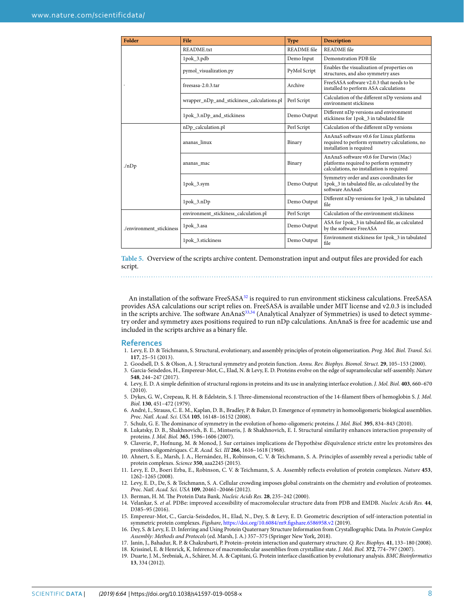<span id="page-7-18"></span>

| <b>Folder</b>            | File                                       | <b>Type</b>        | <b>Description</b>                                                                                                           |
|--------------------------|--------------------------------------------|--------------------|------------------------------------------------------------------------------------------------------------------------------|
|                          | README.txt                                 | <b>README</b> file | README file                                                                                                                  |
|                          | 1pok_3.pdb                                 | Demo Input         | Demonstration PDB file                                                                                                       |
|                          | pymol_visualization.py                     | PyMol Script       | Enables the visualization of properties on<br>structures, and also symmetry axes                                             |
|                          | freesasa-2.0.3.tar                         | Archive            | FreeSASA software v2.0.3 that needs to be<br>installed to perform ASA calculations                                           |
|                          | wrapper_nDp_and_stickiness_calculations.pl | Perl Script        | Calculation of the different nDp versions and<br>environment stickiness                                                      |
|                          | 1pok_3.nDp_and_stickiness                  | Demo Output        | Different nDp versions and environment<br>stickiness for 1pok_3 in tabulated file                                            |
|                          | nDp_calculation.pl                         | Perl Script        | Calculation of the different nDp versions                                                                                    |
| $\ln Dp$                 | ananas linux                               | Binary             | AnAnaS software v0.6 for Linux platforms<br>required to perform symmetry calculations, no<br>installation is required        |
|                          | ananas_mac                                 | Binary             | AnAnaS software v0.6 for Darwin (Mac)<br>platforms required to perform symmetry<br>calculations, no installation is required |
|                          | 1pok_3.sym                                 | Demo Output        | Symmetry order and axes coordinates for<br>1pok_3 in tabulated file, as calculated by the<br>software AnAnaS                 |
|                          | $1p$ ok $_3$ .nDp                          | Demo Output        | Different nDp versions for 1pok_3 in tabulated<br>file                                                                       |
|                          | environment_stickiness_calculation.pl      | Perl Script        | Calculation of the environment stickiness                                                                                    |
| ./environment stickiness | 1pok_3.asa                                 | Demo Output        | ASA for 1pok_3 in tabulated file, as calculated<br>by the software FreeASA                                                   |
|                          | 1pok 3.stickiness                          | Demo Output        | Environment stickiness for 1pok_3 in tabulated<br>file                                                                       |

**Table 5.** Overview of the scripts archive content. Demonstration input and output files are provided for each script.

An installation of the software FreeSASA<sup>[32](#page-8-13)</sup> is required to run environment stickiness calculations. FreeSASA provides ASA calculations our script relies on. FreeSASA is available under MIT license and v2.0.3 is included in the scripts archive. The software AnAnaS[33](#page-8-14),[34](#page-8-15) (Analytical Analyzer of Symmetries) is used to detect symmetry order and symmetry axes positions required to run nDp calculations. AnAnaS is free for academic use and included in the scripts archive as a binary file.

#### **References**

- <span id="page-7-0"></span> 1. Levy, E. D. & Teichmann, S. Structural, evolutionary, and assembly principles of protein oligomerization. Prog. Mol. Biol. Transl. Sci. **117**, 25–51 (2013).
- <span id="page-7-1"></span>2. Goodsell, D. S. & Olson, A. J. Structural symmetry and protein function. Annu. Rev. Biophys. Biomol. Struct. **29**, 105–153 (2000).
- <span id="page-7-2"></span> 3. Garcia-Seisdedos, H., Empereur-Mot, C., Elad, N. & Levy, E. D. Proteins evolve on the edge of supramolecular self-assembly. Nature **548**, 244–247 (2017).
- <span id="page-7-3"></span> 4. Levy, E. D. A simple definition of structural regions in proteins and its use in analyzing interface evolution. J. Mol. Biol. **403**, 660–670 (2010).
- <span id="page-7-4"></span> 5. Dykes, G. W., Crepeau, R. H. & Edelstein, S. J. Three-dimensional reconstruction of the 14-filament fibers of hemoglobin S. J. Mol. Biol. **130**, 451–472 (1979).
- <span id="page-7-5"></span> 6. André, I., Strauss, C. E. M., Kaplan, D. B., Bradley, P. & Baker, D. Emergence of symmetry in homooligomeric biological assemblies. Proc. Natl. Acad. Sci. USA **105**, 16148–16152 (2008).
- <span id="page-7-13"></span>7. Schulz, G. E. The dominance of symmetry in the evolution of homo-oligomeric proteins. J. Mol. Biol. **395**, 834–843 (2010).
- <span id="page-7-6"></span> 8. Lukatsky, D. B., Shakhnovich, B. E., Mintseris, J. & Shakhnovich, E. I. Structural similarity enhances interaction propensity of proteins. J. Mol. Biol. **365**, 1596–1606 (2007).
- <span id="page-7-7"></span> 9. Claverie, P., Hofnung, M. & Monod, J. Sur certaines implications de l'hypothèse d'équivalence stricte entre les protomères des protéines oligomériques. C.R. Acad. Sci. III **266**, 1616–1618 (1968).
- 10. Ahnert, S. E., Marsh, J. A., Hernández, H., Robinson, C. V. & Teichmann, S. A. Principles of assembly reveal a periodic table of protein complexes. Science **350**, aaa2245 (2015).
- <span id="page-7-8"></span> 11. Levy, E. D., Boeri Erba, E., Robinson, C. V. & Teichmann, S. A. Assembly reflects evolution of protein complexes. Nature **453**, 1262–1265 (2008).
- <span id="page-7-9"></span> 12. Levy, E. D., De, S. & Teichmann, S. A. Cellular crowding imposes global constraints on the chemistry and evolution of proteomes. Proc. Natl. Acad. Sci. USA **109**, 20461–20466 (2012).
- <span id="page-7-10"></span>13. Berman, H. M. The Protein Data Bank. Nucleic Acids Res. **28**, 235–242 (2000).
- <span id="page-7-11"></span> 14. Velankar, S. et al. PDBe: improved accessibility of macromolecular structure data from PDB and EMDB. Nucleic Acids Res. **44**, D385–95 (2016).
- <span id="page-7-12"></span> 15. Empereur-Mot, C., Garcia-Seisdedos, H., Elad, N., Dey, S. & Levy, E. D. Geometric description of self-interaction potential in symmetric protein complexes. Figshare, <https://doi.org/10.6084/m9.figshare.6586958.v2> (2019).
- <span id="page-7-14"></span> 16. Dey, S. & Levy, E. D. Inferring and Using Protein Quaternary Structure Information from Crystallographic Data. In Protein Complex Assembly: Methods and Protocols (ed. Marsh, J. A.) 357–375 (Springer New York, 2018).
- <span id="page-7-15"></span>17. Janin, J., Bahadur, R. P. & Chakrabarti, P. Protein–protein interaction and quaternary structure. Q. Rev. Biophys. **41**, 133–180 (2008).
- <span id="page-7-16"></span>18. Krissinel, E. & Henrick, K. Inference of macromolecular assemblies from crystalline state. J. Mol. Biol. **372**, 774–797 (2007).
- <span id="page-7-17"></span> 19. Duarte, J. M., Srebniak, A., Schärer, M. A. & Capitani, G. Protein interface classification by evolutionary analysis. BMC Bioinformatics **13**, 334 (2012).